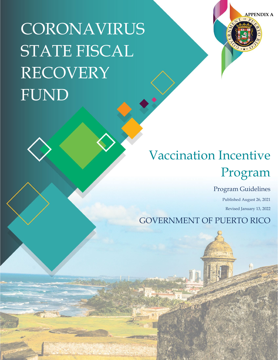CORONAVIRUS STATE FISCAL RECOVERY FUND



# Vaccination Incentive Program

Program Guidelines

Published August 26, 2021 Revised January 13, 2022

GOVERNMENT OF PUERTO RICO

177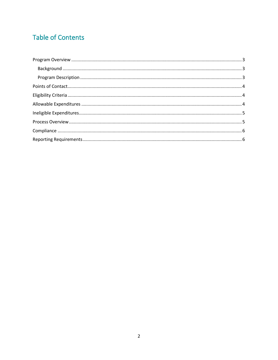## **Table of Contents**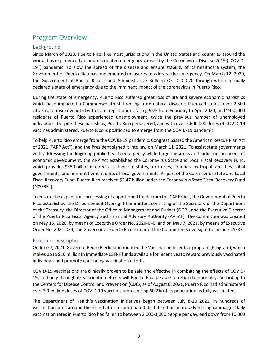## <span id="page-2-0"></span>Program Overview

#### <span id="page-2-1"></span>Background

Since March of 2020, Puerto Rico, like most jurisdictions in the United States and countries around the world, has experienced an unprecedented emergency caused by the Coronavirus Disease 2019 ("COVID-19") pandemic. To slow the spread of the disease and ensure stability of its healthcare system, the Government of Puerto Rico has implemented measures to address the emergency. On March 12, 2020, the Government of Puerto Rico issued Administrative Bulletin OE-2020-020 through which formally declared a state of emergency due to the imminent impact of the coronavirus in Puerto Rico.

During the state of emergency, Puerto Rico suffered great loss of life and severe economic hardships which have impacted a Commonwealth still reeling from natural disaster. Puerto Rico lost over 2,500 citizens, tourism dwindled with hotel registrations falling 95% from February to April 2020, and ~460,000 residents of Puerto Rico experienced unemployment, twice the previous number of unemployed individuals. Despite these hardships, Puerto Rico persevered, and with over 2,600,000 doses of COVID-19 vaccines administered, Puerto Rico is positioned to emerge from the COVID-19 pandemic.

To help Puerto Rico emerge from the COVID-19 pandemic, Congress passed the American Rescue Plan Act of 2021 ("ARP Act"), and the President signed it into law on March 11, 2021. To assist state governments with addressing the lingering public health emergency while targeting areas and industries in needs of economic development, the ARP Act established the Coronavirus State and Local Fiscal Recovery Fund, which provides \$350 billion in direct assistance to states, territories, counties, metropolitan cities, tribal governments, and non-entitlement units of local governments. As part of the Coronavirus State and Local Fiscal Recovery Fund, Puerto Rico received \$2.47 billion under the Coronavirus State Fiscal Recovery Fund ("CSFRF").

To ensure the expeditious processing of apportioned funds from the CARES Act, the Government of Puerto Rico established the Disbursement Oversight Committee, consisting of the Secretary of the Department of the Treasury, the Director of the Office of Management and Budget (OGP), and the Executive Director of the Puerto Rico Fiscal Agency and Financial Advisory Authority (AAFAF). The Committee was created on May 15, 2020, by means of Executive Order No. 2020-040, and on May 7, 2021, by means of Executive Order No. 2021-034, the Governor of Puerto Rico extended the Committee's oversight to include CSFRF.

#### <span id="page-2-2"></span>Program Description

On June 7, 2021, Governor Pedro Pierluisi announced the Vaccination Incentive program (Program), which makes up to \$10 million in immediate CSFRF funds available for incentives to reward previously vaccinated individuals and promote continuing vaccination efforts.

COVID-19 vaccinations are clinically proven to be safe and effective in combatting the effects of COVID-19, and only through its vaccination efforts will Puerto Rico be able to return to normalcy. According to the Centers for Disease Control and Prevention (CDC), as of August 6, 2021, Puerto Rico had administered over 3.9 million doses of COVID-19 vaccines representing 60.2% of its population as fully vaccinated.

The Department of Health's vaccination initiatives began between July 8-10 2021, in hundreds of vaccination sires around the island after a coordinated digital and billboard advertising campaign. Daily vaccination rates in Puerto Rico had fallen to between 2,000-3,000 people per day, and down from 10,000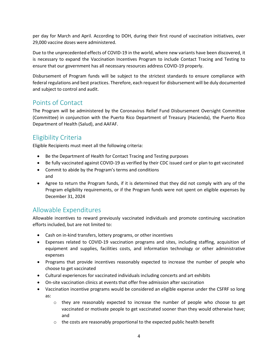per day for March and April. According to DOH, during their first round of vaccination initiatives, over 29,000 vaccine doses were administered.

Due to the unprecedented effects of COVID-19 in the world, where new variants have been discovered, it is necessary to expand the Vaccination Incentives Program to include Contact Tracing and Testing to ensure that our government has all necessary resources address COVID-19 properly.

Disbursement of Program funds will be subject to the strictest standards to ensure compliance with federal regulations and best practices. Therefore, each request for disbursement will be duly documented and subject to control and audit.

## <span id="page-3-0"></span>Points of Contact

The Program will be administered by the Coronavirus Relief Fund Disbursement Oversight Committee (Committee) in conjunction with the Puerto Rico Department of Treasury (Hacienda), the Puerto Rico Department of Health (Salud), and AAFAF.

## <span id="page-3-1"></span>Eligibility Criteria

Eligible Recipients must meet all the following criteria:

- Be the Department of Health for Contact Tracing and Testing purposes
- Be fully vaccinated against COVID-19 as verified by their CDC issued card or plan to get vaccinated
- Commit to abide by the Program's terms and conditions and
- Agree to return the Program funds, if it is determined that they did not comply with any of the Program eligibility requirements, or if the Program funds were not spent on eligible expenses by December 31, 2024

## <span id="page-3-2"></span>Allowable Expenditures

Allowable incentives to reward previously vaccinated individuals and promote continuing vaccination efforts included, but are not limited to:

- Cash on in-kind transfers, lottery programs, or other incentives
- Expenses related to COVID-19 vaccination programs and sites, including staffing, acquisition of equipment and supplies, facilities costs, and information technology or other administrative expenses
- Programs that provide incentives reasonably expected to increase the number of people who choose to get vaccinated
- Cultural experiences for vaccinated individuals including concerts and art exhibits
- On-site vaccination clinics at events that offer free admission after vaccination
- Vaccination incentive programs would be considered an eligible expense under the CSFRF so long as:
	- o they are reasonably expected to increase the number of people who choose to get vaccinated or motivate people to get vaccinated sooner than they would otherwise have; and
	- $\circ$  the costs are reasonably proportional to the expected public health benefit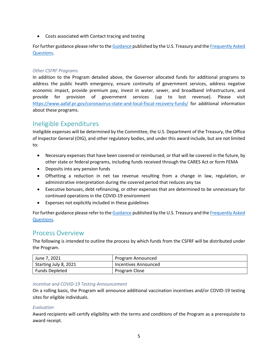• Costs associated with Contact tracing and testing

For further guidance please refer to th[e Guidance](https://home.treasury.gov/system/files/136/SLFRF-Final-Rule.pdf) published by the U.S. Treasury and the [Frequently Asked](https://home.treasury.gov/system/files/136/SLFRPFAQ.pdf)  [Questions.](https://home.treasury.gov/system/files/136/SLFRPFAQ.pdf)

#### *Other CSFRF Programs*

In addition to the Program detailed above, the Governor allocated funds for additional programs to address the public health emergency, ensure continuity of government services, address negative economic impact, provide premium pay, invest in water, sewer, and broadband infrastructure, and provide for provision of government services (up to lost revenue). Please visit <https://www.aafaf.pr.gov/coronavirus-state-and-local-fiscal-recovery-funds/> for additional information about these programs.

## <span id="page-4-0"></span>Ineligible Expenditures

Ineligible expenses will be determined by the Committee, the U.S. Department of the Treasury, the Office of Inspector General (OIG), and other regulatory bodies, and under this award include, but are not limited to:

- Necessary expenses that have been covered or reimbursed, or that will be covered in the future, by other state or federal programs, including funds received through the CARES Act or form FEMA
- Deposits into any pension funds
- Offsetting a reduction in net tax revenue resulting from a change in law, regulation, or administrative interpretation during the covered period that reduces any tax
- Executive bonuses, debt refinancing, or other expenses that are determined to be unnecessary for continued operations in the COVID-19 environment
- Expenses not explicitly included in these guidelines

For further guidance please refer to th[e Guidance](https://home.treasury.gov/system/files/136/SLFRF-Final-Rule.pdf) published by the U.S. Treasury and the [Frequently Asked](https://home.treasury.gov/system/files/136/SLFRPFAQ.pdf)  [Questions.](https://home.treasury.gov/system/files/136/SLFRPFAQ.pdf)

### <span id="page-4-1"></span>Process Overview

The following is intended to outline the process by which funds from the CSFRF will be distributed under the Program.

| June 7, 2021          | Program Announced    |
|-----------------------|----------------------|
| Starting July 8, 2021 | Incentives Announced |
| <b>Funds Depleted</b> | Program Close        |

#### *Incentive and COVID-19 Testing Announcement*

On a rolling basis, the Program will announce additional vaccination incentives and/or COVID-19 testing sites for eligible individuals.

#### *Evaluation*

Award recipients will certify eligibility with the terms and conditions of the Program as a prerequisite to award receipt.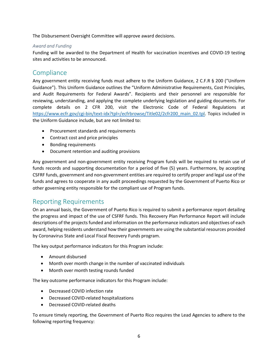The Disbursement Oversight Committee will approve award decisions.

#### *Award and Funding*

Funding will be awarded to the Department of Health for vaccination incentives and COVID-19 testing sites and activities to be announced.

## <span id="page-5-0"></span>Compliance

Any government entity receiving funds must adhere to the Uniform Guidance, 2 C.F.R § 200 ("Uniform Guidance"). This Uniform Guidance outlines the "Uniform Administrative Requirements, Cost Principles, and Audit Requirements for Federal Awards". Recipients and their personnel are responsible for reviewing, understanding, and applying the complete underlying legislation and guiding documents. For complete details on 2 CFR 200, visit the Electronic Code of Federal Regulations at https://www.ecfr.gov/cgi-bin/text-idx?tpl=/ecfrbrowse/Title02/2cfr200 main 02.tpl. Topics included in the Uniform Guidance include, but are not limited to:

- Procurement standards and requirements
- Contract cost and price principles
- Bonding requirements
- Document retention and auditing provisions

Any government and non-government entity receiving Program funds will be required to retain use of funds records and supporting documentation for a period of five (5) years. Furthermore, by accepting CSFRF funds, government and non-government entities are required to certify proper and legal use of the funds and agrees to cooperate in any audit proceedings requested by the Government of Puerto Rico or other governing entity responsible for the compliant use of Program funds.

## <span id="page-5-1"></span>Reporting Requirements

On an annual basis, the Government of Puerto Rico is required to submit a performance report detailing the progress and impact of the use of CSFRF funds. This Recovery Plan Performance Report will include descriptions of the projects funded and information on the performance indicators and objectives of each award, helping residents understand how their governments are using the substantial resources provided by Coronavirus State and Local Fiscal Recovery Funds program.

The key output performance indicators for this Program include:

- Amount disbursed
- Month over month change in the number of vaccinated individuals
- Month over month testing rounds funded

The key outcome performance indicators for this Program include:

- Decreased COVID infection rate
- Decreased COVID-related hospitalizations
- Decreased COVID-related deaths

To ensure timely reporting, the Government of Puerto Rico requires the Lead Agencies to adhere to the following reporting frequency: